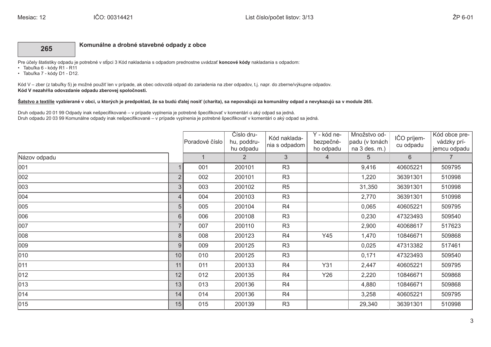## 265

Komunálne a drobné stavebné odpady z obce

Pre účely štatistiky odpadu je potrebné v stĺpci 3 Kód nakladania s odpadom prednostne uvádzať koncové kódy nakladania s odpadom:

- · Tabuľka 6 kódy R1 R11
- · Tabuľka 7 kódy D1 D12.

Kód V - zber (z tabuľky 5) je možné použiť len v prípade, ak obec odovzdá odpad do zariadenia na zber odpadov, t.j. napr. do zberne/výkupne odpadov. Kód V nezahŕňa odovzdanie odpadu zberovej spoločnosti.

## Šatstvo a textílie vyzbierané v obci, u ktorých je predpoklad, že sa budú ďalej nosiť (charita), sa nepovažujú za komunálny odpad a nevykazujú sa v module 265.

Druh odpadu 20 01 99 Odpady inak nešpecifikované - v prípade vyplnenia je potrebné špecifikovať v komentári o aký odpad sa jedná. Druh odpadu 20 03 99 Komunálne odpady inak nešpecifikované – v prípade vyplnenia je potrebné špecifikovať v komentári o aký odpad sa jedná.

|               |                | Poradové číslo | Číslo dru-<br>hu, poddru-<br>hu odpadu | Kód naklada-<br>nia s odpadom | Y - kód ne-<br>bezpečné-<br>ho odpadu | Množstvo od-<br>padu (v tonách<br>na 3 des. m.) | IČO príjem-<br>cu odpadu | Kód obce pre-<br>vádzky prí-<br>jemcu odpadu |
|---------------|----------------|----------------|----------------------------------------|-------------------------------|---------------------------------------|-------------------------------------------------|--------------------------|----------------------------------------------|
| Názov odpadu  |                | $\overline{1}$ | $\overline{2}$                         | 3 <sup>2</sup>                | $\overline{4}$                        | 5                                               | 6                        | $\overline{7}$                               |
| 001           |                | 001            | 200101                                 | R <sub>3</sub>                |                                       | 9,416                                           | 40605221                 | 509795                                       |
| 002           | $\overline{2}$ | 002            | 200101                                 | R <sub>3</sub>                |                                       | 1,220                                           | 36391301                 | 510998                                       |
| 003           | 3              | 003            | 200102                                 | R <sub>5</sub>                |                                       | 31,350                                          | 36391301                 | 510998                                       |
| 004           | $\overline{4}$ | 004            | 200103                                 | R <sub>3</sub>                |                                       | 2,770                                           | 36391301                 | 510998                                       |
| 005           | 5              | 005            | 200104                                 | R <sub>4</sub>                |                                       | 0,065                                           | 40605221                 | 509795                                       |
| 006           | 6              | 006            | 200108                                 | R <sub>3</sub>                |                                       | 0,230                                           | 47323493                 | 509540                                       |
| 007           | $\overline{7}$ | 007            | 200110                                 | R <sub>3</sub>                |                                       | 2,900                                           | 40068617                 | 517623                                       |
| 008           | 8              | 008            | 200123                                 | R <sub>4</sub>                | Y45                                   | 1,470                                           | 10846671                 | 509868                                       |
| 009           | 9              | 009            | 200125                                 | R <sub>3</sub>                |                                       | 0,025                                           | 47313382                 | 517461                                       |
| 010           | 10             | 010            | 200125                                 | R <sub>3</sub>                |                                       | 0,171                                           | 47323493                 | 509540                                       |
| 011           | 11             | 011            | 200133                                 | R <sub>4</sub>                | Y31                                   | 2,447                                           | 40605221                 | 509795                                       |
| $ 012\rangle$ | 12             | 012            | 200135                                 | R <sub>4</sub>                | Y26                                   | 2,220                                           | 10846671                 | 509868                                       |
| 013           | 13             | 013            | 200136                                 | R <sub>4</sub>                |                                       | 4,880                                           | 10846671                 | 509868                                       |
| 014           | 14             | 014            | 200136                                 | R <sub>4</sub>                |                                       | 3,258                                           | 40605221                 | 509795                                       |
| $ 015\rangle$ | 15             | 015            | 200139                                 | R <sub>3</sub>                |                                       | 29,340                                          | 36391301                 | 510998                                       |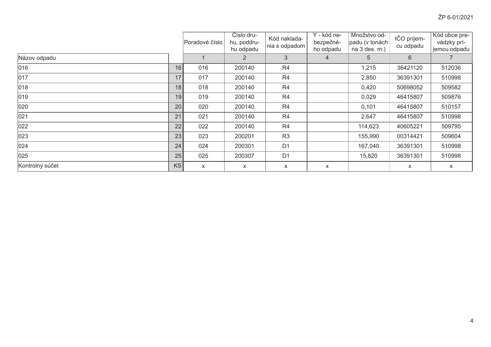|                 |           | Poradové číslo | Číslo dru-<br>hu, poddru-<br>hu odpadu | Kód naklada-<br>nia s odpadom | Y - kód ne-<br>bezpečné-<br>ho odpadu | Množstvo od-<br>padu (v tonách<br>na 3 des. m.) | IČO príjem-<br>cu odpadu | Kód obce pre-<br>vádzky prí-<br>jemcu odpadu |
|-----------------|-----------|----------------|----------------------------------------|-------------------------------|---------------------------------------|-------------------------------------------------|--------------------------|----------------------------------------------|
| Názov odpadu    |           |                | $\overline{2}$                         | 3                             | $\overline{4}$                        | 5                                               | $6^{\circ}$              |                                              |
| 016             | 16        | 016            | 200140                                 | R <sub>4</sub>                |                                       | 1,215                                           | 36421120                 | 512036                                       |
| 017             | 17        | 017            | 200140                                 | R <sub>4</sub>                |                                       | 2,850                                           | 36391301                 | 510998                                       |
| 018             | 18        | 018            | 200140                                 | R <sub>4</sub>                |                                       | 0,420                                           | 50698052                 | 509582                                       |
| 019             | 19        | 019            | 200140                                 | R <sub>4</sub>                |                                       | 0,029                                           | 46415807                 | 509876                                       |
| 020             | 20        | 020            | 200140                                 | R <sub>4</sub>                |                                       | 0,101                                           | 46415807                 | 510157                                       |
| 021             | 21        | 021            | 200140                                 | R <sub>4</sub>                |                                       | 2,647                                           | 46415807                 | 510998                                       |
| 022             | 22        | 022            | 200140                                 | R <sub>4</sub>                |                                       | 114,623                                         | 40605221                 | 509795                                       |
| 023             | 23        | 023            | 200201                                 | R <sub>3</sub>                |                                       | 155,990                                         | 00314421                 | 509604                                       |
| $ 024\rangle$   | 24        | 024            | 200301                                 | D <sub>1</sub>                |                                       | 167,040                                         | 36391301                 | 510998                                       |
| 025             | 25        | 025            | 200307                                 | D <sub>1</sub>                |                                       | 15,820                                          | 36391301                 | 510998                                       |
| Kontrolný súčet | <b>KS</b> | X              | X                                      | X                             | X                                     |                                                 | X                        | X                                            |